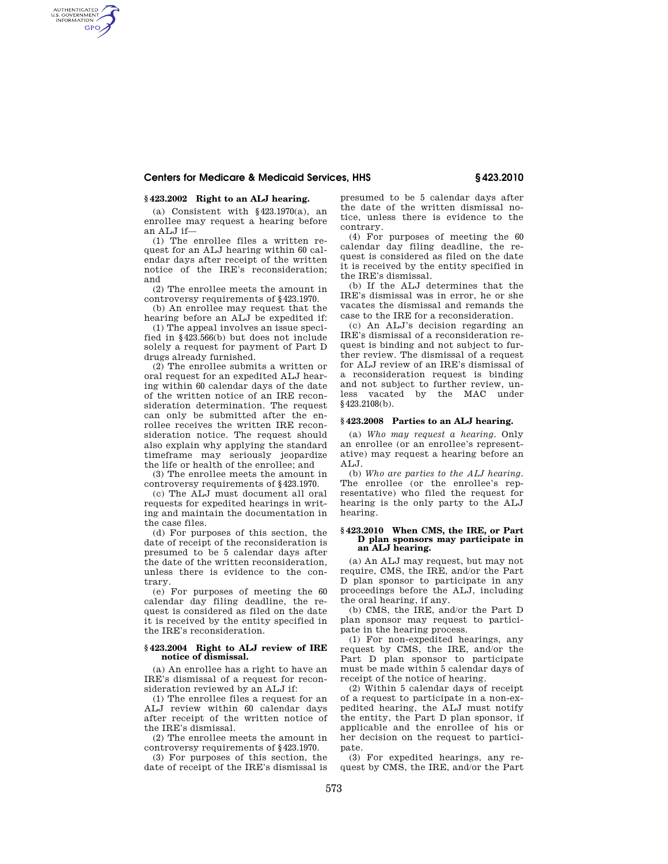## **Centers for Medicare & Medicaid Services, HHS § 423.2010**

# **§ 423.2002 Right to an ALJ hearing.**

AUTHENTICATED<br>U.S. GOVERNMENT<br>INFORMATION **GPO** 

> (a) Consistent with  $§423.1970(a)$ , an enrollee may request a hearing before an ALJ if—

> (1) The enrollee files a written request for an ALJ hearing within 60 calendar days after receipt of the written notice of the IRE's reconsideration; and

> (2) The enrollee meets the amount in controversy requirements of §423.1970.

(b) An enrollee may request that the hearing before an ALJ be expedited if:

(1) The appeal involves an issue specified in §423.566(b) but does not include solely a request for payment of Part D drugs already furnished.

(2) The enrollee submits a written or oral request for an expedited ALJ hearing within 60 calendar days of the date of the written notice of an IRE reconsideration determination. The request can only be submitted after the enrollee receives the written IRE reconsideration notice. The request should also explain why applying the standard timeframe may seriously jeopardize the life or health of the enrollee; and

(3) The enrollee meets the amount in controversy requirements of §423.1970.

(c) The ALJ must document all oral requests for expedited hearings in writing and maintain the documentation in the case files.

(d) For purposes of this section, the date of receipt of the reconsideration is presumed to be 5 calendar days after the date of the written reconsideration, unless there is evidence to the contrary.

(e) For purposes of meeting the 60 calendar day filing deadline, the request is considered as filed on the date it is received by the entity specified in the IRE's reconsideration.

#### **§ 423.2004 Right to ALJ review of IRE notice of dismissal.**

(a) An enrollee has a right to have an IRE's dismissal of a request for reconsideration reviewed by an ALJ if:

(1) The enrollee files a request for an ALJ review within 60 calendar days after receipt of the written notice of the IRE's dismissal.

(2) The enrollee meets the amount in controversy requirements of §423.1970.

(3) For purposes of this section, the date of receipt of the IRE's dismissal is presumed to be 5 calendar days after the date of the written dismissal notice, unless there is evidence to the contrary.

(4) For purposes of meeting the 60 calendar day filing deadline, the request is considered as filed on the date it is received by the entity specified in the IRE's dismissal.

(b) If the ALJ determines that the IRE's dismissal was in error, he or she vacates the dismissal and remands the case to the IRE for a reconsideration.

(c) An ALJ's decision regarding an IRE's dismissal of a reconsideration request is binding and not subject to further review. The dismissal of a request for ALJ review of an IRE's dismissal of a reconsideration request is binding and not subject to further review, unless vacated by the MAC under §423.2108(b).

#### **§ 423.2008 Parties to an ALJ hearing.**

(a) *Who may request a hearing.* Only an enrollee (or an enrollee's representative) may request a hearing before an ALJ.

(b) *Who are parties to the ALJ hearing.*  The enrollee (or the enrollee's representative) who filed the request for hearing is the only party to the ALJ hearing.

#### **§ 423.2010 When CMS, the IRE, or Part D plan sponsors may participate in an ALJ hearing.**

(a) An ALJ may request, but may not require, CMS, the IRE, and/or the Part D plan sponsor to participate in any proceedings before the ALJ, including the oral hearing, if any.

(b) CMS, the IRE, and/or the Part D plan sponsor may request to participate in the hearing process.

(1) For non-expedited hearings, any request by CMS, the IRE, and/or the Part D plan sponsor to participate must be made within 5 calendar days of receipt of the notice of hearing.

(2) Within 5 calendar days of receipt of a request to participate in a non-expedited hearing, the ALJ must notify the entity, the Part D plan sponsor, if applicable and the enrollee of his or her decision on the request to participate.

(3) For expedited hearings, any request by CMS, the IRE, and/or the Part